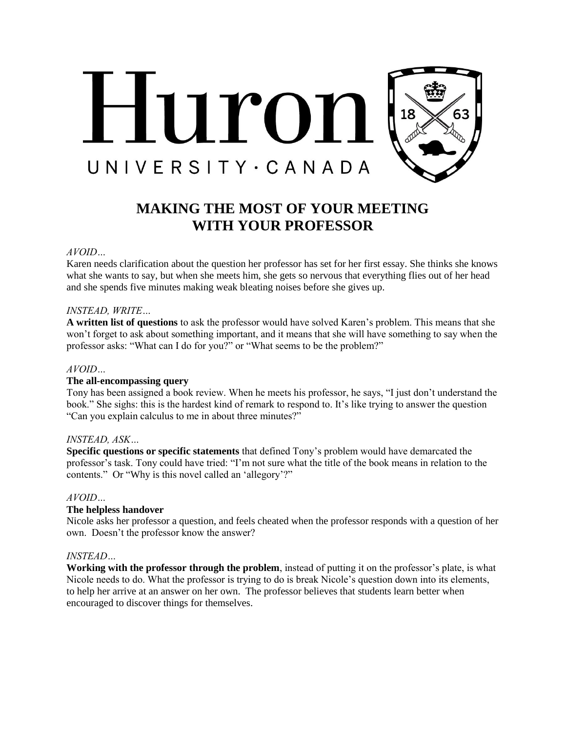

# **MAKING THE MOST OF YOUR MEETING WITH YOUR PROFESSOR**

### *AVOID…*

Karen needs clarification about the question her professor has set for her first essay. She thinks she knows what she wants to say, but when she meets him, she gets so nervous that everything flies out of her head and she spends five minutes making weak bleating noises before she gives up.

### *INSTEAD, WRITE…*

**A written list of questions** to ask the professor would have solved Karen's problem. This means that she won't forget to ask about something important, and it means that she will have something to say when the professor asks: "What can I do for you?" or "What seems to be the problem?"

#### *AVOID…*

## **The all-encompassing query**

Tony has been assigned a book review. When he meets his professor, he says, "I just don't understand the book." She sighs: this is the hardest kind of remark to respond to. It's like trying to answer the question "Can you explain calculus to me in about three minutes?"

## *INSTEAD, ASK…*

**Specific questions or specific statements** that defined Tony's problem would have demarcated the professor's task. Tony could have tried: "I'm not sure what the title of the book means in relation to the contents." Or "Why is this novel called an 'allegory'?"

## *AVOID…*

## **The helpless handover**

Nicole asks her professor a question, and feels cheated when the professor responds with a question of her own. Doesn't the professor know the answer?

### *INSTEAD…*

**Working with the professor through the problem**, instead of putting it on the professor's plate, is what Nicole needs to do. What the professor is trying to do is break Nicole's question down into its elements, to help her arrive at an answer on her own. The professor believes that students learn better when encouraged to discover things for themselves.